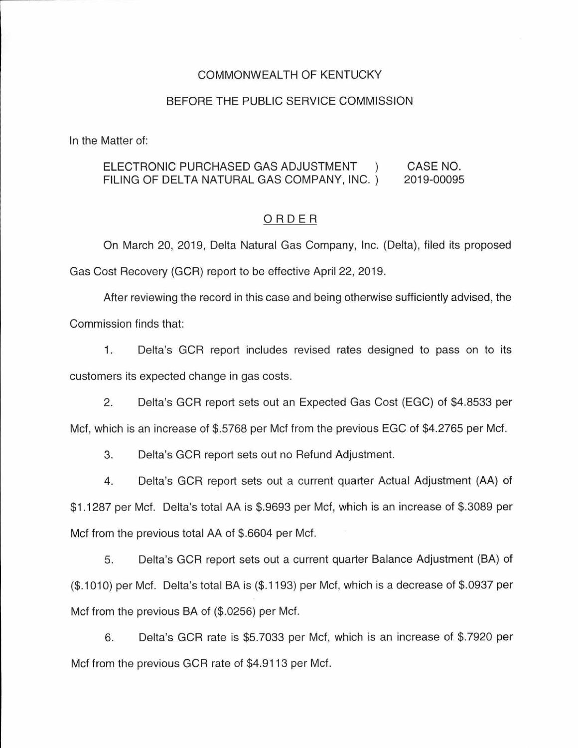### COMMONWEAL TH OF KENTUCKY

#### BEFORE THE PUBLIC SERVICE COMMISSION

In the Matter of:

#### ELECTRONIC PURCHASED GAS ADJUSTMENT ) FILING OF DELTA NATURAL GAS COMPANY, INC. ) CASE NO. 2019-00095

### ORDER

On March 20, 2019, Delta Natural Gas Company, Inc. (Delta), filed its proposed Gas Cost Recovery (GCR) report to be effective April 22, 2019.

After reviewing the record in this case and being otherwise sufficiently advised, the Commission finds that:

1. Delta's GCR report includes revised rates designed to pass on to its customers its expected change in gas costs.

2. Delta's GCR report sets out an Expected Gas Cost (EGG) of \$4.8533 per Met, which is an increase of \$.5768 per Met from the previous EGG of \$4.2765 per Met.

3. Delta's GCR report sets out no Refund Adjustment.

4. Delta's GCR report sets out a current quarter Actual Adjustment (AA) of \$1.1287 per Mcf. Delta's total AA is \$.9693 per Met, which is an increase of \$.3089 per Met from the previous total AA of \$.6604 per Mcf.

5. Delta's GCR report sets out a current quarter Balance Adjustment (BA) of (\$. 1010) per Met. Delta's total BA is (\$.1193) per Mcf, which is a decrease of \$.0937 per Met from the previous BA of (\$.0256) per Met.

6. Delta's GCR rate is \$5.7033 per Met, which is an increase of \$.7920 per Met from the previous GCR rate of \$4.9113 per Met.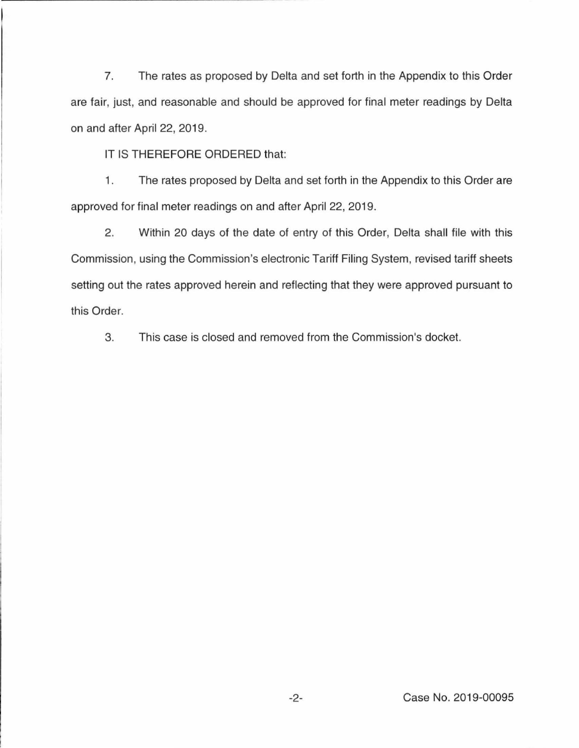7. The rates as proposed by Delta and set forth in the Appendix to this Order are fair, just, and reasonable and should be approved for final meter readings by Delta on and after April 22, 2019.

IT IS THEREFORE ORDERED that:

1. The rates proposed by Delta and set forth in the Appendix to this Order are approved for final meter readings on and after April 22, 2019.

2. Within 20 days of the date of entry of this Order, Delta shall file with this Commission, using the Commission's electronic Tariff Filing System, revised tariff sheets setting out the rates approved herein and reflecting that they were approved pursuant to this Order.

3. This case is closed and removed from the Commission's docket.

-2- Case No. 2019-00095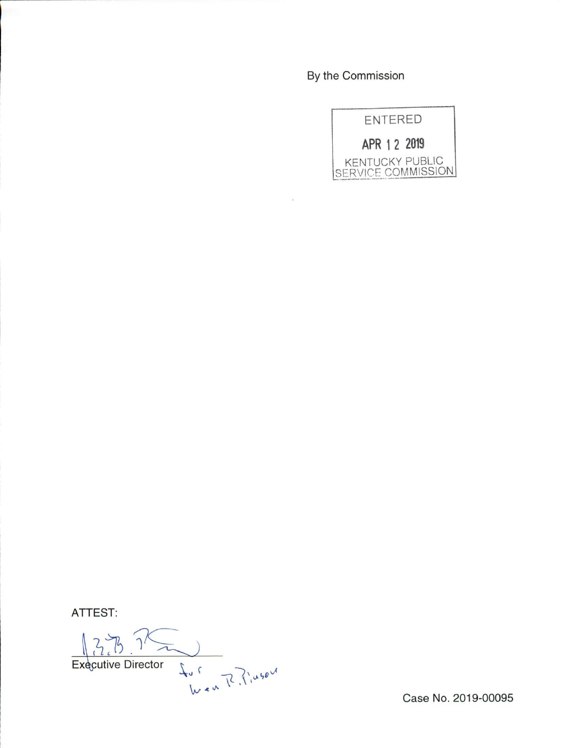By the Commission



ATTEST:

fur River Executive Director

Case No. 2019-00095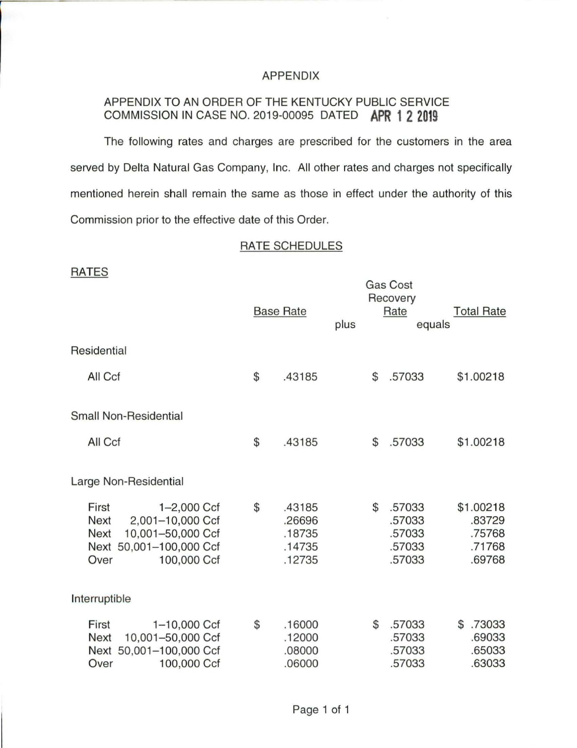# APPENDIX

# APPENDIX TO AN ORDER OF THE KENTUCKY PUBLIC SERVICE COMMISSION IN CASE NO. 2019-00095 DATED **APR 1 2 2019**

The following rates and charges are prescribed for the customers in the area served by Delta Natural Gas Company, Inc. All other rates and charges not specifically mentioned herein shall remain the same as those in effect under the authority of this Commission prior to the effective date of this Order.

# RATE SCHEDULES

|                               |                                                                                                    | <b>Base Rate</b>                                     | plus | <b>Gas Cost</b><br>Recovery<br>Rate                  | <b>Total Rate</b><br>equals                       |
|-------------------------------|----------------------------------------------------------------------------------------------------|------------------------------------------------------|------|------------------------------------------------------|---------------------------------------------------|
| Residential                   |                                                                                                    |                                                      |      |                                                      |                                                   |
| All Ccf                       |                                                                                                    | \$<br>.43185                                         |      | \$<br>.57033                                         | \$1.00218                                         |
|                               | <b>Small Non-Residential</b>                                                                       |                                                      |      |                                                      |                                                   |
| All Ccf                       |                                                                                                    | \$<br>.43185                                         |      | \$<br>.57033                                         | \$1.00218                                         |
|                               | Large Non-Residential                                                                              |                                                      |      |                                                      |                                                   |
| First<br>Next<br>Next<br>Over | $1 - 2,000$ Ccf<br>2,001-10,000 Ccf<br>10,001-50,000 Ccf<br>Next 50,001-100,000 Ccf<br>100,000 Ccf | \$<br>.43185<br>.26696<br>.18735<br>.14735<br>.12735 |      | \$<br>.57033<br>.57033<br>.57033<br>.57033<br>.57033 | \$1.00218<br>.83729<br>.75768<br>.71768<br>.69768 |
| Interruptible                 |                                                                                                    |                                                      |      |                                                      |                                                   |
| First<br><b>Next</b><br>Over  | 1-10,000 Ccf<br>10,001-50,000 Ccf<br>Next 50,001-100,000 Ccf<br>100,000 Ccf                        | \$<br>.16000<br>.12000<br>.08000<br>.06000           |      | \$<br>.57033<br>.57033<br>.57033<br>.57033           | .73033<br>\$<br>.69033<br>.65033<br>.63033        |